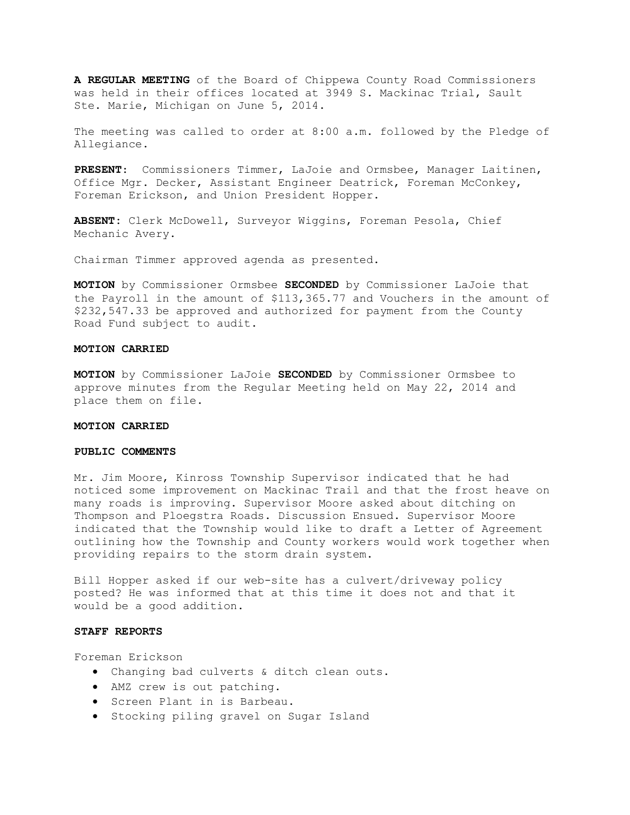**A REGULAR MEETING** of the Board of Chippewa County Road Commissioners was held in their offices located at 3949 S. Mackinac Trial, Sault Ste. Marie, Michigan on June 5, 2014.

The meeting was called to order at 8:00 a.m. followed by the Pledge of Allegiance.

**PRESENT**: Commissioners Timmer, LaJoie and Ormsbee, Manager Laitinen, Office Mgr. Decker, Assistant Engineer Deatrick, Foreman McConkey, Foreman Erickson, and Union President Hopper.

**ABSENT:** Clerk McDowell, Surveyor Wiggins, Foreman Pesola, Chief Mechanic Avery.

Chairman Timmer approved agenda as presented.

**MOTION** by Commissioner Ormsbee **SECONDED** by Commissioner LaJoie that the Payroll in the amount of \$113,365.77 and Vouchers in the amount of \$232,547.33 be approved and authorized for payment from the County Road Fund subject to audit.

### **MOTION CARRIED**

**MOTION** by Commissioner LaJoie **SECONDED** by Commissioner Ormsbee to approve minutes from the Regular Meeting held on May 22, 2014 and place them on file.

### **MOTION CARRIED**

#### **PUBLIC COMMENTS**

Mr. Jim Moore, Kinross Township Supervisor indicated that he had noticed some improvement on Mackinac Trail and that the frost heave on many roads is improving. Supervisor Moore asked about ditching on Thompson and Ploegstra Roads. Discussion Ensued. Supervisor Moore indicated that the Township would like to draft a Letter of Agreement outlining how the Township and County workers would work together when providing repairs to the storm drain system.

Bill Hopper asked if our web-site has a culvert/driveway policy posted? He was informed that at this time it does not and that it would be a good addition.

# **STAFF REPORTS**

Foreman Erickson

- · Changing bad culverts & ditch clean outs.
- · AMZ crew is out patching.
- · Screen Plant in is Barbeau.
- · Stocking piling gravel on Sugar Island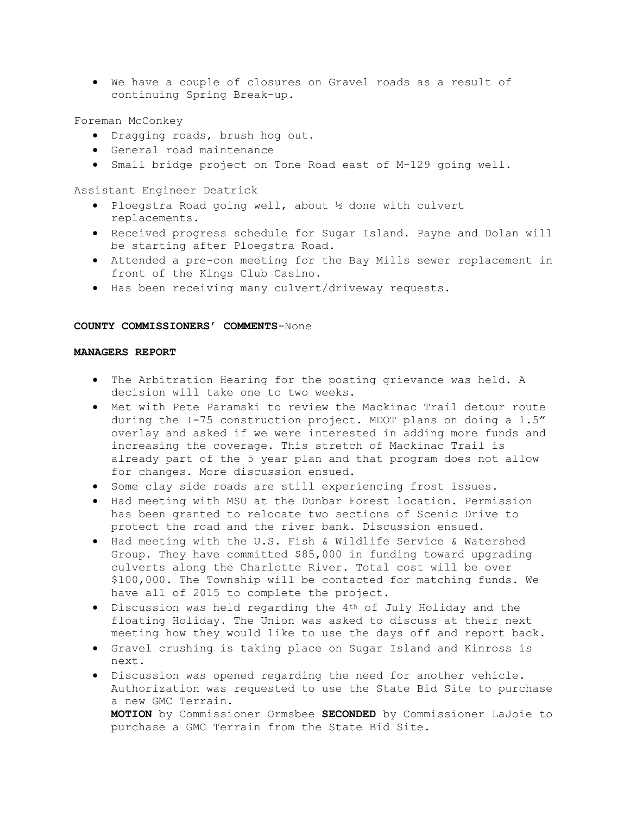· We have a couple of closures on Gravel roads as a result of continuing Spring Break-up.

Foreman McConkey

- · Dragging roads, brush hog out.
- · General road maintenance
- · Small bridge project on Tone Road east of M-129 going well.

Assistant Engineer Deatrick

- · Ploegstra Road going well, about ½ done with culvert replacements.
- · Received progress schedule for Sugar Island. Payne and Dolan will be starting after Ploegstra Road.
- · Attended a pre-con meeting for the Bay Mills sewer replacement in front of the Kings Club Casino.
- · Has been receiving many culvert/driveway requests.

### **COUNTY COMMISSIONERS' COMMENTS**-None

# **MANAGERS REPORT**

- · The Arbitration Hearing for the posting grievance was held. A decision will take one to two weeks.
- · Met with Pete Paramski to review the Mackinac Trail detour route during the I-75 construction project. MDOT plans on doing a 1.5" overlay and asked if we were interested in adding more funds and increasing the coverage. This stretch of Mackinac Trail is already part of the 5 year plan and that program does not allow for changes. More discussion ensued.
- · Some clay side roads are still experiencing frost issues.
- · Had meeting with MSU at the Dunbar Forest location. Permission has been granted to relocate two sections of Scenic Drive to protect the road and the river bank. Discussion ensued.
- · Had meeting with the U.S. Fish & Wildlife Service & Watershed Group. They have committed \$85,000 in funding toward upgrading culverts along the Charlotte River. Total cost will be over \$100,000. The Township will be contacted for matching funds. We have all of 2015 to complete the project.
- · Discussion was held regarding the 4th of July Holiday and the floating Holiday. The Union was asked to discuss at their next meeting how they would like to use the days off and report back.
- · Gravel crushing is taking place on Sugar Island and Kinross is next.
- · Discussion was opened regarding the need for another vehicle. Authorization was requested to use the State Bid Site to purchase a new GMC Terrain. **MOTION** by Commissioner Ormsbee **SECONDED** by Commissioner LaJoie to purchase a GMC Terrain from the State Bid Site.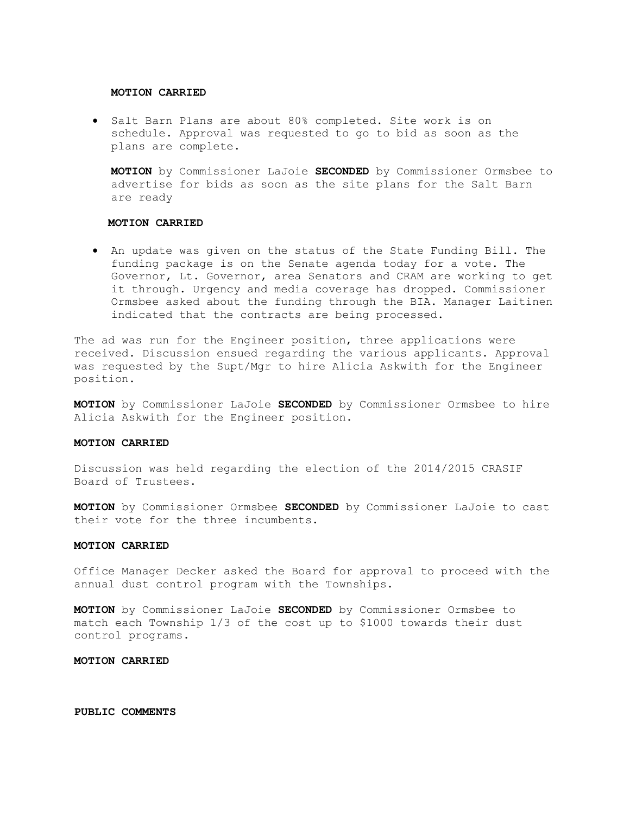#### **MOTION CARRIED**

· Salt Barn Plans are about 80% completed. Site work is on schedule. Approval was requested to go to bid as soon as the plans are complete.

**MOTION** by Commissioner LaJoie **SECONDED** by Commissioner Ormsbee to advertise for bids as soon as the site plans for the Salt Barn are ready

# **MOTION CARRIED**

· An update was given on the status of the State Funding Bill. The funding package is on the Senate agenda today for a vote. The Governor, Lt. Governor, area Senators and CRAM are working to get it through. Urgency and media coverage has dropped. Commissioner Ormsbee asked about the funding through the BIA. Manager Laitinen indicated that the contracts are being processed.

The ad was run for the Engineer position, three applications were received. Discussion ensued regarding the various applicants. Approval was requested by the Supt/Mgr to hire Alicia Askwith for the Engineer position.

**MOTION** by Commissioner LaJoie **SECONDED** by Commissioner Ormsbee to hire Alicia Askwith for the Engineer position.

#### **MOTION CARRIED**

Discussion was held regarding the election of the 2014/2015 CRASIF Board of Trustees.

**MOTION** by Commissioner Ormsbee **SECONDED** by Commissioner LaJoie to cast their vote for the three incumbents.

#### **MOTION CARRIED**

Office Manager Decker asked the Board for approval to proceed with the annual dust control program with the Townships.

**MOTION** by Commissioner LaJoie **SECONDED** by Commissioner Ormsbee to match each Township 1/3 of the cost up to \$1000 towards their dust control programs.

#### **MOTION CARRIED**

# **PUBLIC COMMENTS**